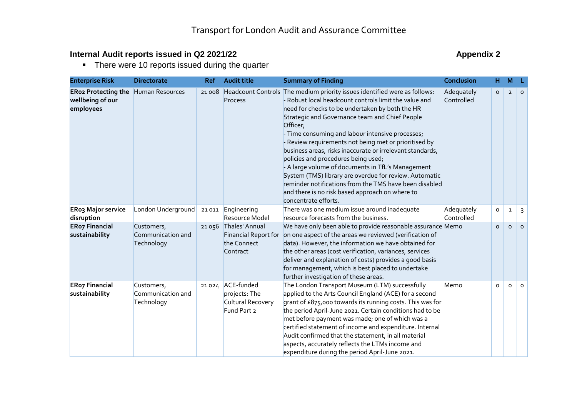## **Internal Audit reports issued in Q2 2021/22** Appendix 2

• There were 10 reports issued during the quarter

| <b>Enterprise Risk</b>                                      | <b>Directorate</b>                            | <b>Ref</b> | <b>Audit title</b>                                                       | <b>Summary of Finding</b>                                                                                                                                                                                                                                                                                                                                                                                                                                                                                                                                                                                                                                                                                                | Conclusion               | H        | M              | - L      |
|-------------------------------------------------------------|-----------------------------------------------|------------|--------------------------------------------------------------------------|--------------------------------------------------------------------------------------------------------------------------------------------------------------------------------------------------------------------------------------------------------------------------------------------------------------------------------------------------------------------------------------------------------------------------------------------------------------------------------------------------------------------------------------------------------------------------------------------------------------------------------------------------------------------------------------------------------------------------|--------------------------|----------|----------------|----------|
| <b>ERo2 Protecting the</b><br>wellbeing of our<br>employees | <b>Human Resources</b>                        | 21008      | Process                                                                  | Headcount Controls The medium priority issues identified were as follows:<br>- Robust local headcount controls limit the value and<br>need for checks to be undertaken by both the HR<br>Strategic and Governance team and Chief People<br>Officer;<br>- Time consuming and labour intensive processes;<br>- Review requirements not being met or prioritised by<br>business areas, risks inaccurate or irrelevant standards,<br>policies and procedures being used;<br>- A large volume of documents in TfL's Management<br>System (TMS) library are overdue for review. Automatic<br>reminder notifications from the TMS have been disabled<br>and there is no risk based approach on where to<br>concentrate efforts. | Adequately<br>Controlled | $\circ$  | $\overline{2}$ | $\circ$  |
| <b>ERo3 Major service</b><br>disruption                     | London Underground                            |            | 21 011 Engineering<br>Resource Model                                     | There was one medium issue around inadequate<br>resource forecasts from the business.                                                                                                                                                                                                                                                                                                                                                                                                                                                                                                                                                                                                                                    | Adequately<br>Controlled | O        | $\mathbf{1}$   | 3        |
| <b>ERo7 Financial</b><br>sustainability                     | Customers,<br>Communication and<br>Technology |            | 21 056 Thales' Annual<br>Financial Report for<br>the Connect<br>Contract | We have only been able to provide reasonable assurance Memo<br>on one aspect of the areas we reviewed (verification of<br>data). However, the information we have obtained for<br>the other areas (cost verification, variances, services<br>deliver and explanation of costs) provides a good basis<br>for management, which is best placed to undertake<br>further investigation of these areas.                                                                                                                                                                                                                                                                                                                       |                          | $\circ$  | $\Omega$       | $\Omega$ |
| <b>ERo7 Financial</b><br>sustainability                     | Customers,<br>Communication and<br>Technology |            | 21024 ACE-funded<br>projects: The<br>Cultural Recovery<br>Fund Part 2    | The London Transport Museum (LTM) successfully<br>applied to the Arts Council England (ACE) for a second<br>grant of £875,000 towards its running costs. This was for<br>the period April-June 2021. Certain conditions had to be<br>met before payment was made; one of which was a<br>certified statement of income and expenditure. Internal<br>Audit confirmed that the statement, in all material<br>aspects, accurately reflects the LTMs income and<br>expenditure during the period April-June 2021.                                                                                                                                                                                                             | Memo                     | $\Omega$ | $\circ$        | $\Omega$ |